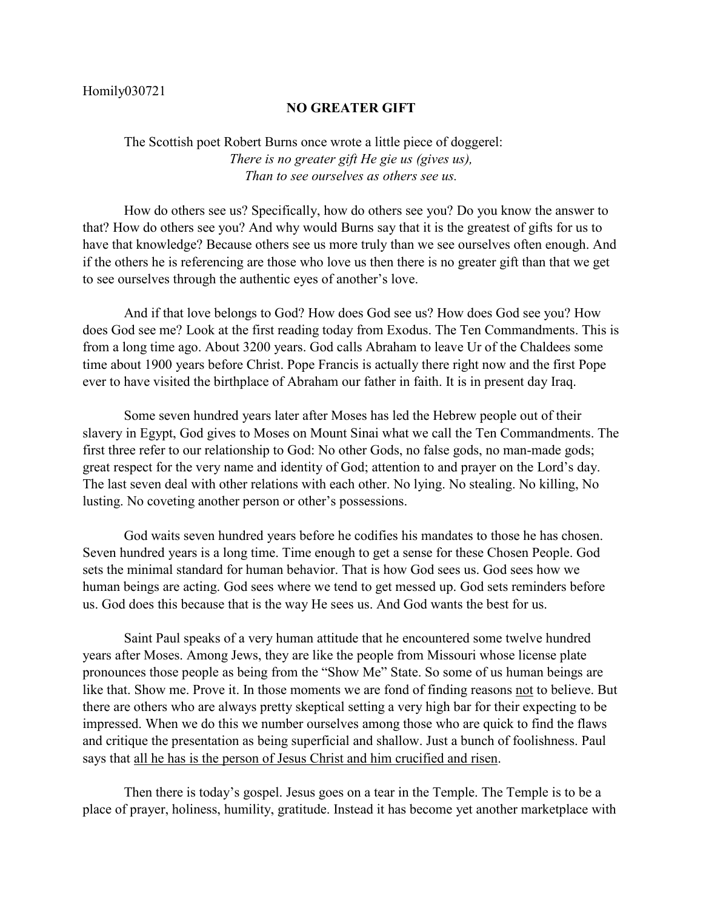## Homily030721

## **NO GREATER GIFT**

The Scottish poet Robert Burns once wrote a little piece of doggerel: *There is no greater gift He gie us (gives us), Than to see ourselves as others see us.*

How do others see us? Specifically, how do others see you? Do you know the answer to that? How do others see you? And why would Burns say that it is the greatest of gifts for us to have that knowledge? Because others see us more truly than we see ourselves often enough. And if the others he is referencing are those who love us then there is no greater gift than that we get to see ourselves through the authentic eyes of another's love.

And if that love belongs to God? How does God see us? How does God see you? How does God see me? Look at the first reading today from Exodus. The Ten Commandments. This is from a long time ago. About 3200 years. God calls Abraham to leave Ur of the Chaldees some time about 1900 years before Christ. Pope Francis is actually there right now and the first Pope ever to have visited the birthplace of Abraham our father in faith. It is in present day Iraq.

Some seven hundred years later after Moses has led the Hebrew people out of their slavery in Egypt, God gives to Moses on Mount Sinai what we call the Ten Commandments. The first three refer to our relationship to God: No other Gods, no false gods, no man-made gods; great respect for the very name and identity of God; attention to and prayer on the Lord's day. The last seven deal with other relations with each other. No lying. No stealing. No killing, No lusting. No coveting another person or other's possessions.

God waits seven hundred years before he codifies his mandates to those he has chosen. Seven hundred years is a long time. Time enough to get a sense for these Chosen People. God sets the minimal standard for human behavior. That is how God sees us. God sees how we human beings are acting. God sees where we tend to get messed up. God sets reminders before us. God does this because that is the way He sees us. And God wants the best for us.

Saint Paul speaks of a very human attitude that he encountered some twelve hundred years after Moses. Among Jews, they are like the people from Missouri whose license plate pronounces those people as being from the "Show Me" State. So some of us human beings are like that. Show me. Prove it. In those moments we are fond of finding reasons not to believe. But there are others who are always pretty skeptical setting a very high bar for their expecting to be impressed. When we do this we number ourselves among those who are quick to find the flaws and critique the presentation as being superficial and shallow. Just a bunch of foolishness. Paul says that all he has is the person of Jesus Christ and him crucified and risen.

Then there is today's gospel. Jesus goes on a tear in the Temple. The Temple is to be a place of prayer, holiness, humility, gratitude. Instead it has become yet another marketplace with